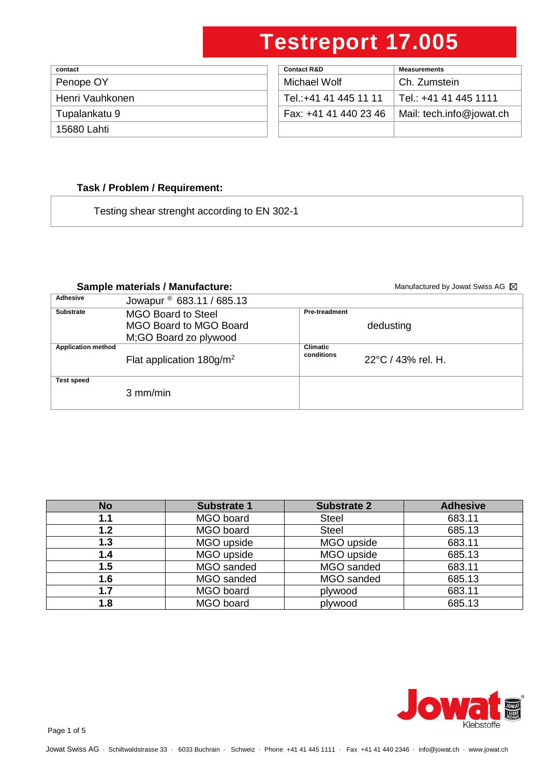| contact         | <b>Contact R&amp;D</b> | <b>Measurements</b> |
|-----------------|------------------------|---------------------|
| Penope OY       | Michael Wolf           | Ch. Zumstein        |
| Henri Vauhkonen | Tel.:+41 41 445 11 11  | ⊟ Tel.: +41 41 4    |
| Tupalankatu 9   | Fax: +41 41 440 23 46  | Mail: tech.info     |
| 15680 Lahti     |                        |                     |

| contact         | <b>Contact R&amp;D</b> | <b>Measurements</b>      |
|-----------------|------------------------|--------------------------|
| Penope OY       | Michael Wolf           | Ch. Zumstein             |
| Henri Vauhkonen | Tel.:+41 41 445 11 11  | l Tel.: +41 41 445 1111  |
| Tupalankatu 9   | Fax: +41 41 440 23 46  | Mail: tech.info@jowat.ch |
| 15680 Lahti     |                        |                          |

### **Task / Problem / Requirement:**

Testing shear strenght according to EN 302-1

### Sample materials / Manufacture: **Sample materials / Manufacture:** Manufactured by Jowat Swiss AG **M**

| Adhesive                  | Jowapur <sup>®</sup> 683.11 / 685.13    |                               |                    |
|---------------------------|-----------------------------------------|-------------------------------|--------------------|
| <b>Substrate</b>          | <b>MGO Board to Steel</b>               | <b>Pre-treadment</b>          |                    |
|                           | MGO Board to MGO Board                  |                               | dedusting          |
|                           | M;GO Board zo plywood                   |                               |                    |
| <b>Application method</b> | Flat application $180$ g/m <sup>2</sup> | <b>Climatic</b><br>conditions | 22°C / 43% rel. H. |
| <b>Test speed</b>         | $3 \text{ mm/min}$                      |                               |                    |

| <b>No</b> | <b>Substrate 1</b> | <b>Substrate 2</b> | <b>Adhesive</b> |
|-----------|--------------------|--------------------|-----------------|
| 1.1       | MGO board          | <b>Steel</b>       | 683.11          |
| 1.2       | MGO board          | <b>Steel</b>       | 685.13          |
| 1.3       | MGO upside         | MGO upside         | 683.11          |
| 1.4       | MGO upside         | MGO upside         | 685.13          |
| 1.5       | MGO sanded         | MGO sanded         | 683.11          |
| 1.6       | MGO sanded         | MGO sanded         | 685.13          |
| 1.7       | MGO board          | plywood            | 683.11          |
| 1.8       | MGO board          | plywood            | 685.13          |

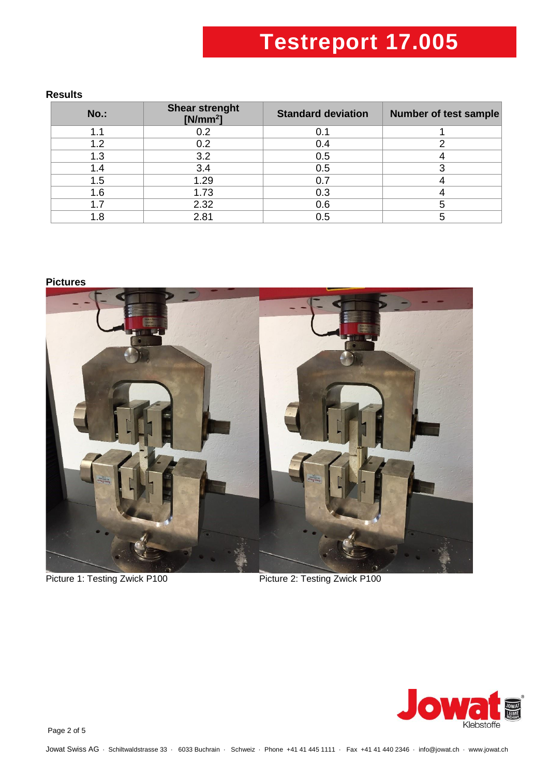#### **Results**

| $No.$ : | <b>Shear strenght</b><br>$[N/mm^2]$ | <b>Standard deviation</b> | <b>Number of test sample</b> |
|---------|-------------------------------------|---------------------------|------------------------------|
| 1.1     | 0.2                                 | 0.1                       |                              |
| 1.2     | 0.2                                 | 0.4                       |                              |
| 1.3     | 3.2                                 | 0.5                       |                              |
| 1.4     | 3.4                                 | 0.5                       |                              |
| 1.5     | 1.29                                | 0.7                       |                              |
| 1.6     | 1.73                                | 0.3                       |                              |
| 1.7     | 2.32                                | 0.6                       |                              |
| 1.8     | 2.81                                | 0.5                       |                              |

#### **Pictures**



Picture 1: Testing Zwick P100 Picture 2: Testing Zwick P100



Page 2 of 5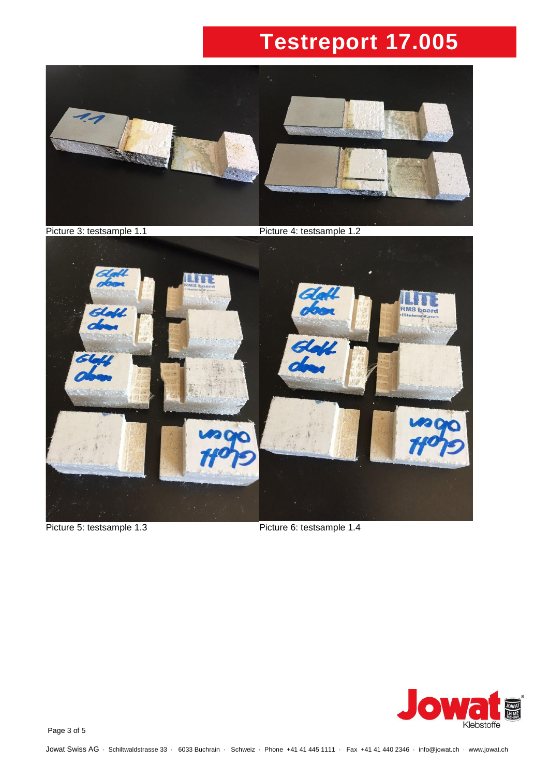

Picture 3: testsample 1.1 Picture 4: testsample 1.2



Picture 5: testsample 1.3 Picture 6: testsample 1.4



Page 3 of 5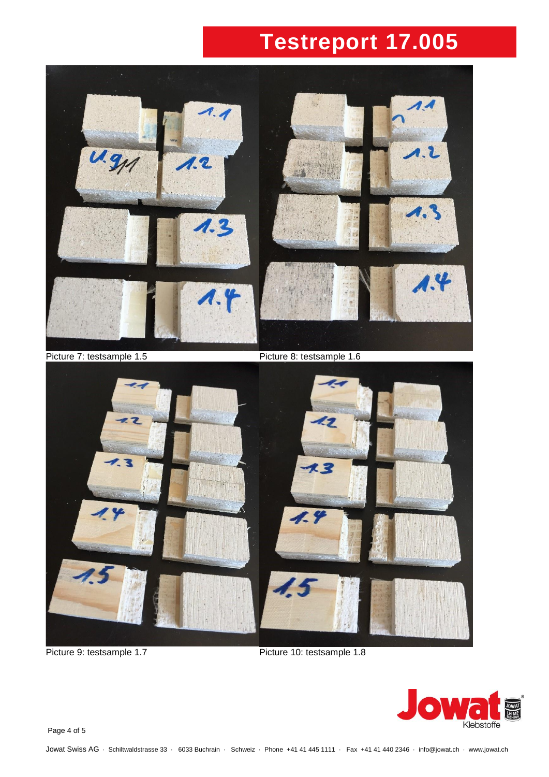

Picture 9: testsample 1.7 Picture 10: testsample 1.8



Page 4 of 5